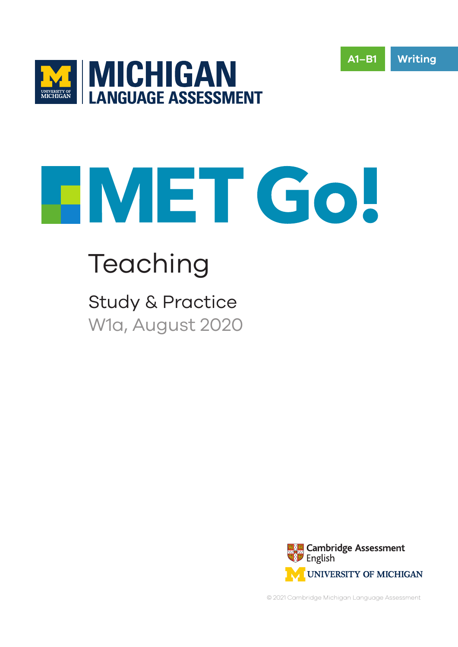



# Teaching

Study & Practice W1a, August 2020



**Writing**

**A1–B1**

© 2021 Cambridge Michigan Language Assessment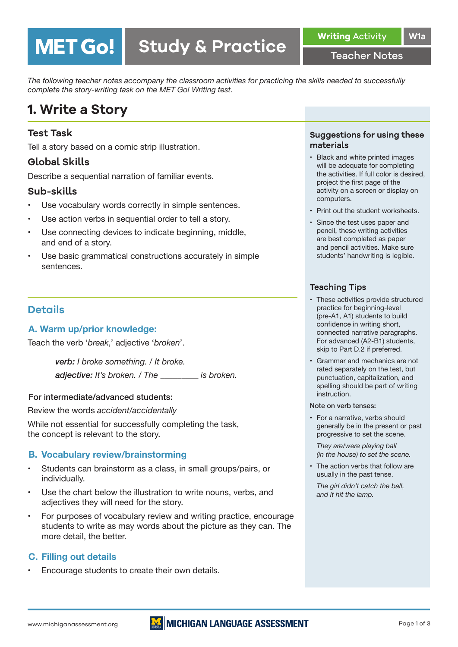Teacher Notes

*The following teacher notes accompany the classroom activities for practicing the skills needed to successfully complete the story-writing task on the MET Go! Writing test.* 

# **1. Write a Story**

**MET Go!** 

#### **Test Task**

Tell a story based on a comic strip illustration.

#### **Global Skills**

Describe a sequential narration of familiar events.

#### **Sub-skills**

- Use vocabulary words correctly in simple sentences.
- Use action verbs in sequential order to tell a story.
- Use connecting devices to indicate beginning, middle, and end of a story.
- Use basic grammatical constructions accurately in simple sentences.

#### **Details**

#### **A. Warm up/prior knowledge:**

Teach the verb '*break*,' adjective '*broken*'.

*verb: I broke something. / It broke. adjective: It's broken. / The \_\_\_\_\_\_\_\_\_ is broken.*

#### For intermediate/advanced students:

Review the words *accident/accidentally*

While not essential for successfully completing the task, the concept is relevant to the story.

#### **B. Vocabulary review/brainstorming**

- Students can brainstorm as a class, in small groups/pairs, or individually.
- Use the chart below the illustration to write nouns, verbs, and adjectives they will need for the story.
- For purposes of vocabulary review and writing practice, encourage students to write as may words about the picture as they can. The more detail, the better.

#### **C. Filling out details**

Encourage students to create their own details.

#### **Suggestions for using these materials**

- Black and white printed images will be adequate for completing the activities. If full color is desired, project the first page of the activity on a screen or display on computers.
- Print out the student worksheets.
- • Since the test uses paper and pencil, these writing activities are best completed as paper and pencil activities. Make sure students' handwriting is legible.

#### **Teaching Tips**

- These activities provide structured practice for beginning-level (pre-A1, A1) students to build confidence in writing short, connected narrative paragraphs. For advanced (A2-B1) students, skip to Part D.2 if preferred.
- • Grammar and mechanics are not rated separately on the test, but punctuation, capitalization, and spelling should be part of writing instruction.

#### Note on verb tenses:

• For a narrative, verbs should generally be in the present or past progressive to set the scene.

*They are/were playing ball (in the house) to set the scene.* 

• The action verbs that follow are usually in the past tense.

*The girl didn't catch the ball, and it hit the lamp.*

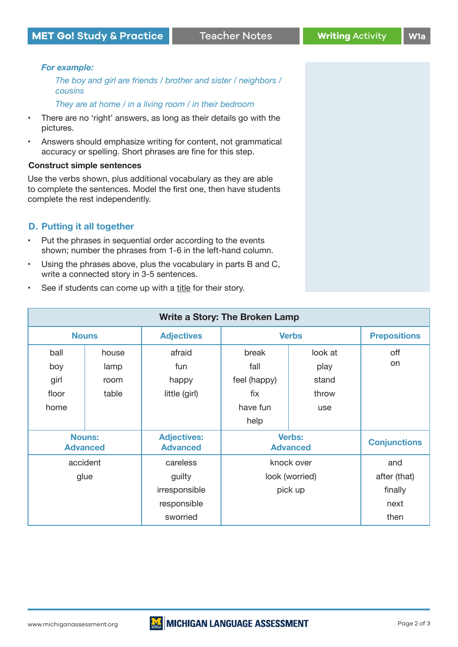#### *For example:*

*The boy and girl are friends / brother and sister / neighbors / cousins*

*They are at home / in a living room / in their bedroom*

- There are no 'right' answers, as long as their details go with the pictures.
- • Answers should emphasize writing for content, not grammatical accuracy or spelling. Short phrases are fine for this step.

#### **Construct simple sentences**

Use the verbs shown, plus additional vocabulary as they are able to complete the sentences. Model the first one, then have students complete the rest independently.

#### **D. Putting it all together**

- • Put the phrases in sequential order according to the events shown; number the phrases from 1-6 in the left-hand column.
- • Using the phrases above, plus the vocabulary in parts B and C, write a connected story in 3-5 sentences.
- See if students can come up with a title for their story.

| Write a Story: The Broken Lamp   |                       |                                       |                                  |                          |                         |
|----------------------------------|-----------------------|---------------------------------------|----------------------------------|--------------------------|-------------------------|
| <b>Nouns</b>                     |                       | <b>Adjectives</b>                     | <b>Verbs</b>                     |                          | <b>Prepositions</b>     |
| ball<br>boy<br>girl              | house<br>lamp<br>room | afraid<br>fun<br>happy                | break<br>fall<br>feel (happy)    | look at<br>play<br>stand | off<br>on               |
| floor<br>home                    | table                 | little (girl)                         | fix<br>have fun<br>help          | throw<br>use             |                         |
| <b>Nouns:</b><br><b>Advanced</b> |                       | <b>Adjectives:</b><br><b>Advanced</b> | <b>Verbs:</b><br><b>Advanced</b> |                          | <b>Conjunctions</b>     |
| accident                         |                       | careless                              | knock over                       |                          | and                     |
| glue                             |                       | guilty<br>irresponsible               | look (worried)<br>pick up        |                          | after (that)<br>finally |
|                                  |                       | responsible<br>sworried               |                                  |                          | next<br>then            |

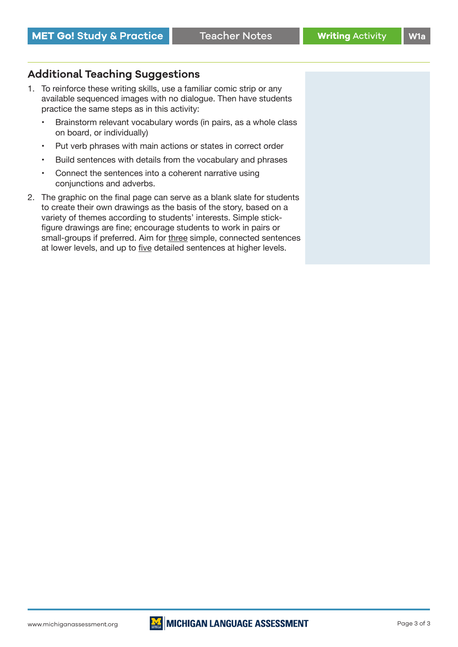### **Additional Teaching Suggestions**

- 1. To reinforce these writing skills, use a familiar comic strip or any available sequenced images with no dialogue. Then have students practice the same steps as in this activity:
	- • Brainstorm relevant vocabulary words (in pairs, as a whole class on board, or individually)
	- Put verb phrases with main actions or states in correct order
	- Build sentences with details from the vocabulary and phrases
	- Connect the sentences into a coherent narrative using conjunctions and adverbs.
- 2. The graphic on the final page can serve as a blank slate for students to create their own drawings as the basis of the story, based on a variety of themes according to students' interests. Simple stickfigure drawings are fine; encourage students to work in pairs or small-groups if preferred. Aim for three simple, connected sentences at lower levels, and up to five detailed sentences at higher levels.

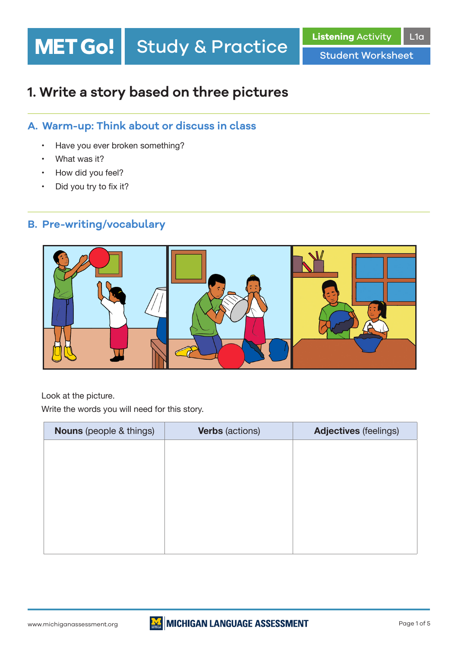# **Study & Practice** MET Go!

Student Worksheet

# **1. Write a story based on three pictures**

# **A. Warm-up: Think about or discuss in class**

- • Have you ever broken something?
- What was it?
- How did you feel?
- Did you try to fix it?

## **B. Pre-writing/vocabulary**



 Look at the picture.

 Write the words you will need for this story.

| <b>Nouns</b> (people & things) | <b>Verbs</b> (actions) | <b>Adjectives (feelings)</b> |
|--------------------------------|------------------------|------------------------------|
|                                |                        |                              |
|                                |                        |                              |
|                                |                        |                              |
|                                |                        |                              |
|                                |                        |                              |
|                                |                        |                              |
|                                |                        |                              |

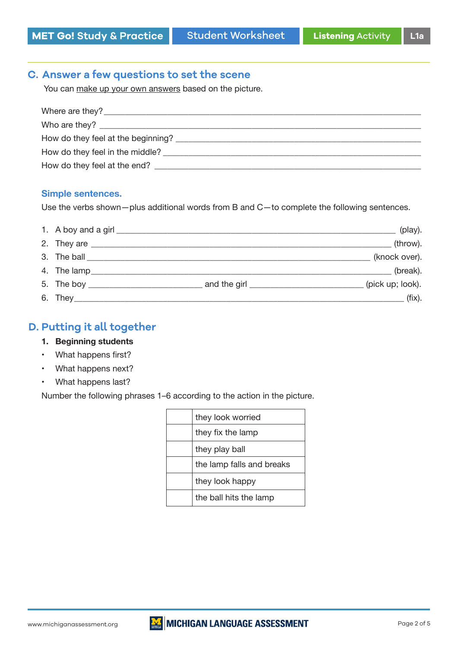### **C. Answer a few questions to set the scene**

You can make up your own answers based on the picture.

| Where are they?                    |
|------------------------------------|
|                                    |
| How do they feel at the beginning? |
|                                    |
| How do they feel at the end?       |
|                                    |

#### **Simple sentences.**

 Use the verbs shown—plus additional words from B and C—to complete the following sentences.

|             | (play).          |
|-------------|------------------|
|             | (throw).         |
|             | (knock over).    |
| 4. The lamp | (break).         |
|             | (pick up; look). |
|             | $(fix)$ .        |

#### **D. Putting it all together**

- **1. Beginning students**
- • What happens first?
- • What happens next?
- • What happens last?

 Number the following phrases 1–6 according to the action in the picture.

| they look worried         |
|---------------------------|
| they fix the lamp         |
| they play ball            |
| the lamp falls and breaks |
| they look happy           |
| the ball hits the lamp    |

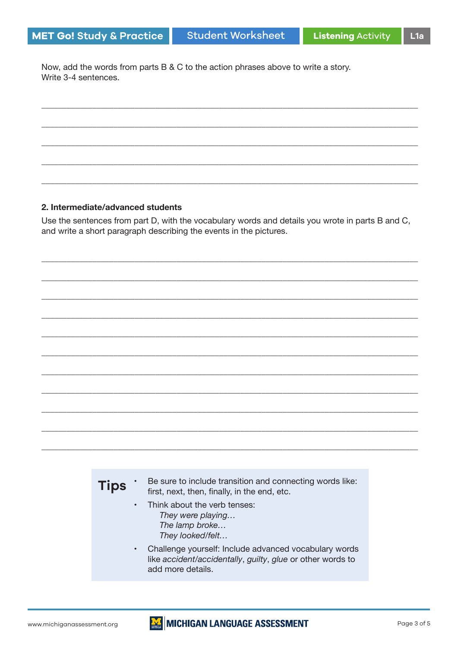Now, add the words from parts B & C to the action phrases above to write a story. Write 3-4 sentences.

#### 2. Intermediate/advanced students

Use the sentences from part D, with the vocabulary words and details you wrote in parts B and C, and write a short paragraph describing the events in the pictures.



- Think about the verb tenses:  $\bullet$ They were playing... The lamp broke... They looked/felt...
- $\bullet$ Challenge yourself: Include advanced vocabulary words like accident/accidentally, guilty, glue or other words to add more details.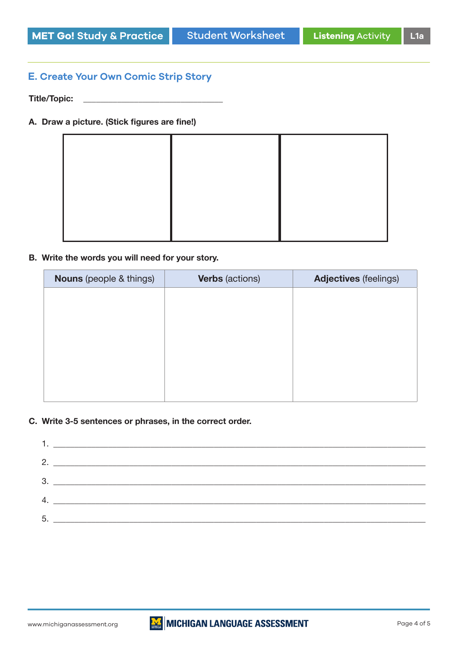#### **E. Create Your Own Comic Strip Story**

**Title/Topic: \_\_\_\_\_\_\_\_\_\_\_\_\_\_\_\_\_\_\_\_\_\_\_\_\_\_\_\_\_\_\_\_\_**

#### **A. Draw a picture. (Stick figures are fine!)**

#### **B. Write the words you will need for your story.**

| <b>Verbs</b> (actions) | <b>Adjectives</b> (feelings) |
|------------------------|------------------------------|
|                        |                              |
|                        |                              |
|                        |                              |
|                        |                              |
|                        |                              |
|                        |                              |
|                        |                              |

#### **C. Write 3-5 sentences or phrases, in the correct order.**